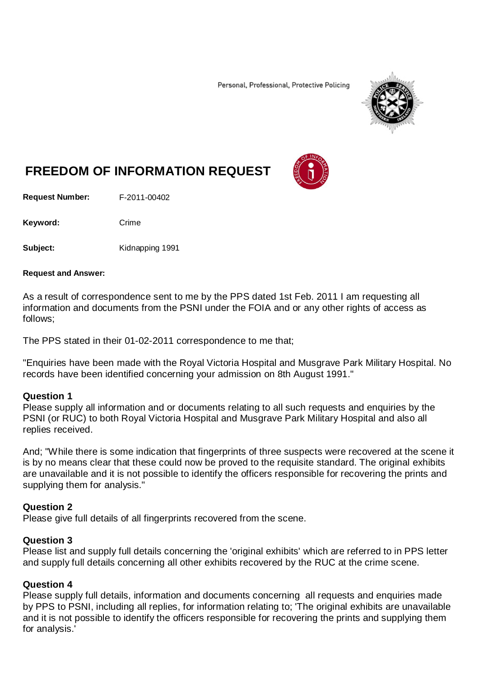Personal, Professional, Protective Policing



# **FREEDOM OF INFORMATION REQUEST**

**Request Number:** F-2011-00402

Keyword: Crime

**Subject:** Kidnapping 1991

#### **Request and Answer:**

As a result of correspondence sent to me by the PPS dated 1st Feb. 2011 I am requesting all information and documents from the PSNI under the FOIA and or any other rights of access as follows;

The PPS stated in their 01-02-2011 correspondence to me that;

"Enquiries have been made with the Royal Victoria Hospital and Musgrave Park Military Hospital. No records have been identified concerning your admission on 8th August 1991."

#### **Question 1**

Please supply all information and or documents relating to all such requests and enquiries by the PSNI (or RUC) to both Royal Victoria Hospital and Musgrave Park Military Hospital and also all replies received.

And; "While there is some indication that fingerprints of three suspects were recovered at the scene it is by no means clear that these could now be proved to the requisite standard. The original exhibits are unavailable and it is not possible to identify the officers responsible for recovering the prints and supplying them for analysis."

#### **Question 2**

Please give full details of all fingerprints recovered from the scene.

#### **Question 3**

Please list and supply full details concerning the 'original exhibits' which are referred to in PPS letter and supply full details concerning all other exhibits recovered by the RUC at the crime scene.

#### **Question 4**

Please supply full details, information and documents concerning all requests and enquiries made by PPS to PSNI, including all replies, for information relating to; 'The original exhibits are unavailable and it is not possible to identify the officers responsible for recovering the prints and supplying them for analysis.'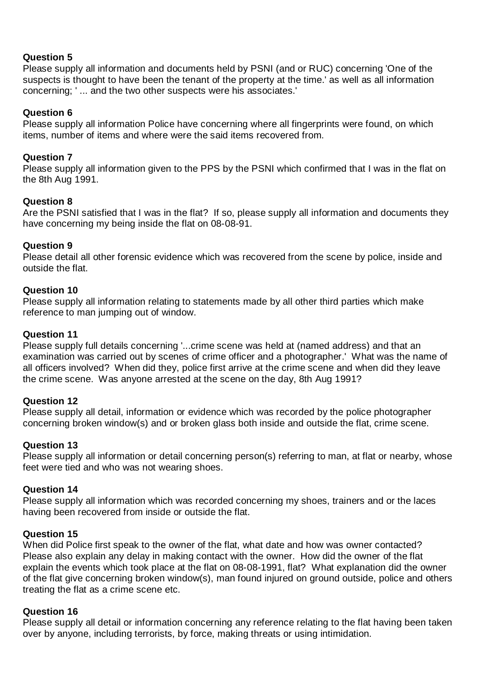# **Question 5**

Please supply all information and documents held by PSNI (and or RUC) concerning 'One of the suspects is thought to have been the tenant of the property at the time.' as well as all information concerning; ' ... and the two other suspects were his associates.'

## **Question 6**

Please supply all information Police have concerning where all fingerprints were found, on which items, number of items and where were the said items recovered from.

## **Question 7**

Please supply all information given to the PPS by the PSNI which confirmed that I was in the flat on the 8th Aug 1991.

## **Question 8**

Are the PSNI satisfied that I was in the flat? If so, please supply all information and documents they have concerning my being inside the flat on 08-08-91.

## **Question 9**

Please detail all other forensic evidence which was recovered from the scene by police, inside and outside the flat.

## **Question 10**

Please supply all information relating to statements made by all other third parties which make reference to man jumping out of window.

## **Question 11**

Please supply full details concerning '...crime scene was held at (named address) and that an examination was carried out by scenes of crime officer and a photographer.' What was the name of all officers involved? When did they, police first arrive at the crime scene and when did they leave the crime scene. Was anyone arrested at the scene on the day, 8th Aug 1991?

#### **Question 12**

Please supply all detail, information or evidence which was recorded by the police photographer concerning broken window(s) and or broken glass both inside and outside the flat, crime scene.

#### **Question 13**

Please supply all information or detail concerning person(s) referring to man, at flat or nearby, whose feet were tied and who was not wearing shoes.

#### **Question 14**

Please supply all information which was recorded concerning my shoes, trainers and or the laces having been recovered from inside or outside the flat.

#### **Question 15**

When did Police first speak to the owner of the flat, what date and how was owner contacted? Please also explain any delay in making contact with the owner. How did the owner of the flat explain the events which took place at the flat on 08-08-1991, flat? What explanation did the owner of the flat give concerning broken window(s), man found injured on ground outside, police and others treating the flat as a crime scene etc.

#### **Question 16**

Please supply all detail or information concerning any reference relating to the flat having been taken over by anyone, including terrorists, by force, making threats or using intimidation.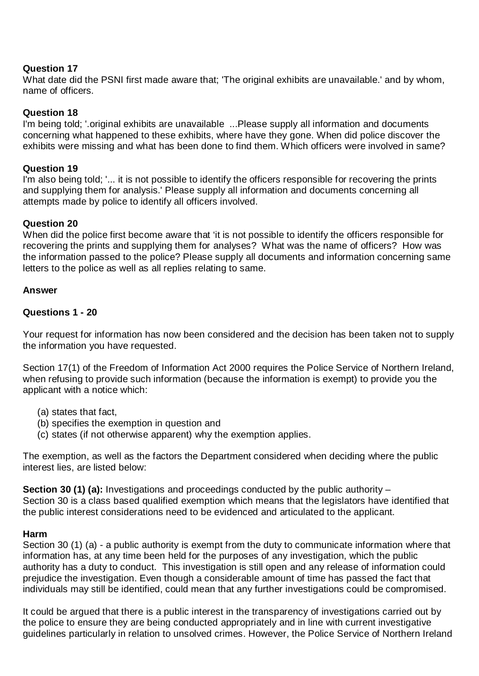#### **Question 17**

What date did the PSNI first made aware that; 'The original exhibits are unavailable.' and by whom, name of officers.

#### **Question 18**

I'm being told; '.original exhibits are unavailable ...Please supply all information and documents concerning what happened to these exhibits, where have they gone. When did police discover the exhibits were missing and what has been done to find them. Which officers were involved in same?

#### **Question 19**

I'm also being told; '... it is not possible to identify the officers responsible for recovering the prints and supplying them for analysis.' Please supply all information and documents concerning all attempts made by police to identify all officers involved.

## **Question 20**

When did the police first become aware that 'it is not possible to identify the officers responsible for recovering the prints and supplying them for analyses? What was the name of officers? How was the information passed to the police? Please supply all documents and information concerning same letters to the police as well as all replies relating to same.

#### **Answer**

#### **Questions 1 - 20**

Your request for information has now been considered and the decision has been taken not to supply the information you have requested.

Section 17(1) of the Freedom of Information Act 2000 requires the Police Service of Northern Ireland, when refusing to provide such information (because the information is exempt) to provide you the applicant with a notice which:

- (a) states that fact,
- (b) specifies the exemption in question and
- (c) states (if not otherwise apparent) why the exemption applies.

The exemption, as well as the factors the Department considered when deciding where the public interest lies, are listed below:

**Section 30 (1) (a):** Investigations and proceedings conducted by the public authority – Section 30 is a class based qualified exemption which means that the legislators have identified that the public interest considerations need to be evidenced and articulated to the applicant.

#### **Harm**

Section 30 (1) (a) - a public authority is exempt from the duty to communicate information where that information has, at any time been held for the purposes of any investigation, which the public authority has a duty to conduct. This investigation is still open and any release of information could prejudice the investigation. Even though a considerable amount of time has passed the fact that individuals may still be identified, could mean that any further investigations could be compromised.

It could be argued that there is a public interest in the transparency of investigations carried out by the police to ensure they are being conducted appropriately and in line with current investigative guidelines particularly in relation to unsolved crimes. However, the Police Service of Northern Ireland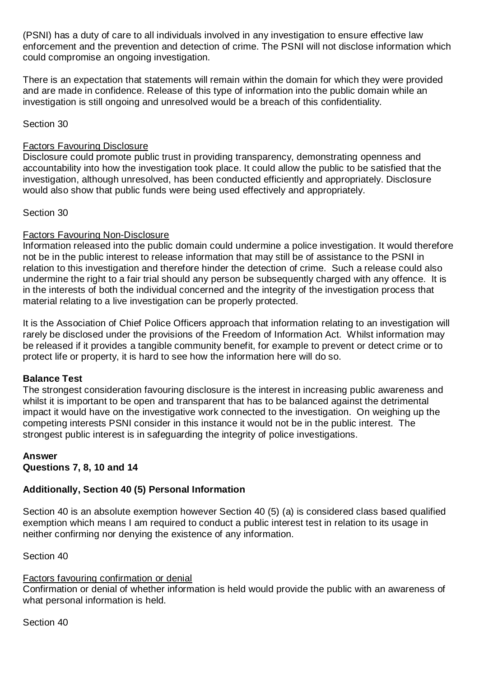(PSNI) has a duty of care to all individuals involved in any investigation to ensure effective law enforcement and the prevention and detection of crime. The PSNI will not disclose information which could compromise an ongoing investigation.

There is an expectation that statements will remain within the domain for which they were provided and are made in confidence. Release of this type of information into the public domain while an investigation is still ongoing and unresolved would be a breach of this confidentiality.

Section 30

#### Factors Favouring Disclosure

Disclosure could promote public trust in providing transparency, demonstrating openness and accountability into how the investigation took place. It could allow the public to be satisfied that the investigation, although unresolved, has been conducted efficiently and appropriately. Disclosure would also show that public funds were being used effectively and appropriately.

## Section 30

# Factors Favouring Non-Disclosure

Information released into the public domain could undermine a police investigation. It would therefore not be in the public interest to release information that may still be of assistance to the PSNI in relation to this investigation and therefore hinder the detection of crime. Such a release could also undermine the right to a fair trial should any person be subsequently charged with any offence. It is in the interests of both the individual concerned and the integrity of the investigation process that material relating to a live investigation can be properly protected.

It is the Association of Chief Police Officers approach that information relating to an investigation will rarely be disclosed under the provisions of the Freedom of Information Act. Whilst information may be released if it provides a tangible community benefit, for example to prevent or detect crime or to protect life or property, it is hard to see how the information here will do so.

# **Balance Test**

The strongest consideration favouring disclosure is the interest in increasing public awareness and whilst it is important to be open and transparent that has to be balanced against the detrimental impact it would have on the investigative work connected to the investigation. On weighing up the competing interests PSNI consider in this instance it would not be in the public interest. The strongest public interest is in safeguarding the integrity of police investigations.

#### **Answer Questions 7, 8, 10 and 14**

# **Additionally, Section 40 (5) Personal Information**

Section 40 is an absolute exemption however Section 40 (5) (a) is considered class based qualified exemption which means I am required to conduct a public interest test in relation to its usage in neither confirming nor denying the existence of any information.

Section 40

# Factors favouring confirmation or denial

Confirmation or denial of whether information is held would provide the public with an awareness of what personal information is held.

Section 40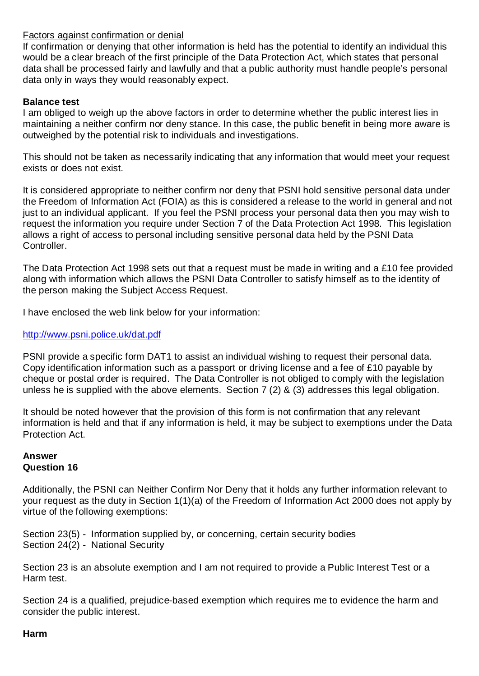## Factors against confirmation or denial

If confirmation or denying that other information is held has the potential to identify an individual this would be a clear breach of the first principle of the Data Protection Act, which states that personal data shall be processed fairly and lawfully and that a public authority must handle people's personal data only in ways they would reasonably expect.

#### **Balance test**

I am obliged to weigh up the above factors in order to determine whether the public interest lies in maintaining a neither confirm nor deny stance. In this case, the public benefit in being more aware is outweighed by the potential risk to individuals and investigations.

This should not be taken as necessarily indicating that any information that would meet your request exists or does not exist.

It is considered appropriate to neither confirm nor deny that PSNI hold sensitive personal data under the Freedom of Information Act (FOIA) as this is considered a release to the world in general and not just to an individual applicant. If you feel the PSNI process your personal data then you may wish to request the information you require under Section 7 of the Data Protection Act 1998. This legislation allows a right of access to personal including sensitive personal data held by the PSNI Data Controller.

The Data Protection Act 1998 sets out that a request must be made in writing and a £10 fee provided along with information which allows the PSNI Data Controller to satisfy himself as to the identity of the person making the Subject Access Request.

I have enclosed the web link below for your information:

#### <http://www.psni.police.uk/dat.pdf>

PSNI provide a specific form DAT1 to assist an individual wishing to request their personal data. Copy identification information such as a passport or driving license and a fee of £10 payable by cheque or postal order is required. The Data Controller is not obliged to comply with the legislation unless he is supplied with the above elements. Section 7 (2) & (3) addresses this legal obligation.

It should be noted however that the provision of this form is not confirmation that any relevant information is held and that if any information is held, it may be subject to exemptions under the Data Protection Act.

#### **Answer Question 16**

Additionally, the PSNI can Neither Confirm Nor Deny that it holds any further information relevant to your request as the duty in Section 1(1)(a) of the Freedom of Information Act 2000 does not apply by virtue of the following exemptions:

Section 23(5) - Information supplied by, or concerning, certain security bodies Section 24(2) - National Security

Section 23 is an absolute exemption and I am not required to provide a Public Interest Test or a Harm test.

Section 24 is a qualified, prejudice-based exemption which requires me to evidence the harm and consider the public interest.

#### **Harm**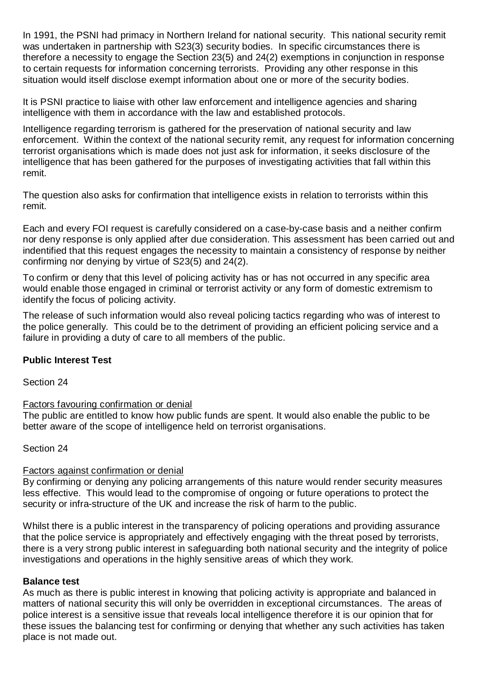In 1991, the PSNI had primacy in Northern Ireland for national security. This national security remit was undertaken in partnership with S23(3) security bodies. In specific circumstances there is therefore a necessity to engage the Section 23(5) and 24(2) exemptions in conjunction in response to certain requests for information concerning terrorists. Providing any other response in this situation would itself disclose exempt information about one or more of the security bodies.

It is PSNI practice to liaise with other law enforcement and intelligence agencies and sharing intelligence with them in accordance with the law and established protocols.

Intelligence regarding terrorism is gathered for the preservation of national security and law enforcement. Within the context of the national security remit, any request for information concerning terrorist organisations which is made does not just ask for information, it seeks disclosure of the intelligence that has been gathered for the purposes of investigating activities that fall within this remit.

The question also asks for confirmation that intelligence exists in relation to terrorists within this remit.

Each and every FOI request is carefully considered on a case-by-case basis and a neither confirm nor deny response is only applied after due consideration. This assessment has been carried out and indentified that this request engages the necessity to maintain a consistency of response by neither confirming nor denying by virtue of S23(5) and 24(2).

To confirm or deny that this level of policing activity has or has not occurred in any specific area would enable those engaged in criminal or terrorist activity or any form of domestic extremism to identify the focus of policing activity.

The release of such information would also reveal policing tactics regarding who was of interest to the police generally. This could be to the detriment of providing an efficient policing service and a failure in providing a duty of care to all members of the public.

#### **Public Interest Test**

Section 24

#### Factors favouring confirmation or denial

The public are entitled to know how public funds are spent. It would also enable the public to be better aware of the scope of intelligence held on terrorist organisations.

Section 24

#### Factors against confirmation or denial

By confirming or denying any policing arrangements of this nature would render security measures less effective. This would lead to the compromise of ongoing or future operations to protect the security or infra-structure of the UK and increase the risk of harm to the public.

Whilst there is a public interest in the transparency of policing operations and providing assurance that the police service is appropriately and effectively engaging with the threat posed by terrorists, there is a very strong public interest in safeguarding both national security and the integrity of police investigations and operations in the highly sensitive areas of which they work.

#### **Balance test**

As much as there is public interest in knowing that policing activity is appropriate and balanced in matters of national security this will only be overridden in exceptional circumstances. The areas of police interest is a sensitive issue that reveals local intelligence therefore it is our opinion that for these issues the balancing test for confirming or denying that whether any such activities has taken place is not made out.